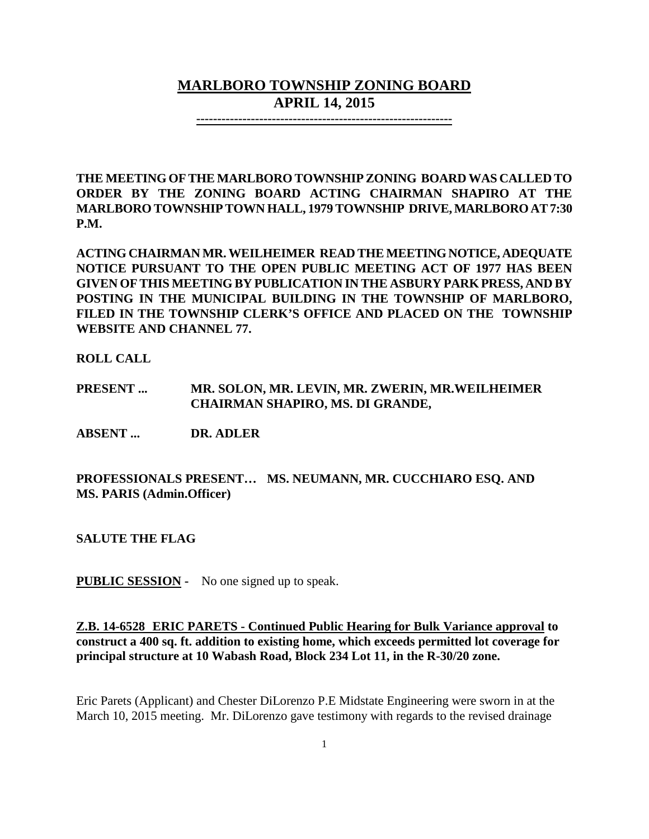# **MARLBORO TOWNSHIP ZONING BOARD APRIL 14, 2015**

**-------------------------------------------------------------**

**THE MEETING OF THE MARLBORO TOWNSHIP ZONING BOARD WAS CALLED TO ORDER BY THE ZONING BOARD ACTING CHAIRMAN SHAPIRO AT THE MARLBORO TOWNSHIPTOWN HALL, 1979 TOWNSHIP DRIVE, MARLBORO AT 7:30 P.M.**

**ACTING CHAIRMAN MR. WEILHEIMER READ THE MEETING NOTICE, ADEQUATE NOTICE PURSUANT TO THE OPEN PUBLIC MEETING ACT OF 1977 HAS BEEN GIVEN OF THIS MEETING BY PUBLICATION IN THE ASBURY PARK PRESS, AND BY POSTING IN THE MUNICIPAL BUILDING IN THE TOWNSHIP OF MARLBORO, FILED IN THE TOWNSHIP CLERK'S OFFICE AND PLACED ON THE TOWNSHIP WEBSITE AND CHANNEL 77.**

**ROLL CALL**

**PRESENT ... MR. SOLON, MR. LEVIN, MR. ZWERIN, MR.WEILHEIMER CHAIRMAN SHAPIRO, MS. DI GRANDE,** 

**ABSENT ... DR. ADLER**

**PROFESSIONALS PRESENT… MS. NEUMANN, MR. CUCCHIARO ESQ. AND MS. PARIS (Admin.Officer)**

**SALUTE THE FLAG**

**PUBLIC SESSION -** No one signed up to speak.

**Z.B. 14-6528 ERIC PARETS - Continued Public Hearing for Bulk Variance approval to construct a 400 sq. ft. addition to existing home, which exceeds permitted lot coverage for principal structure at 10 Wabash Road, Block 234 Lot 11, in the R-30/20 zone.**

Eric Parets (Applicant) and Chester DiLorenzo P.E Midstate Engineering were sworn in at the March 10, 2015 meeting. Mr. DiLorenzo gave testimony with regards to the revised drainage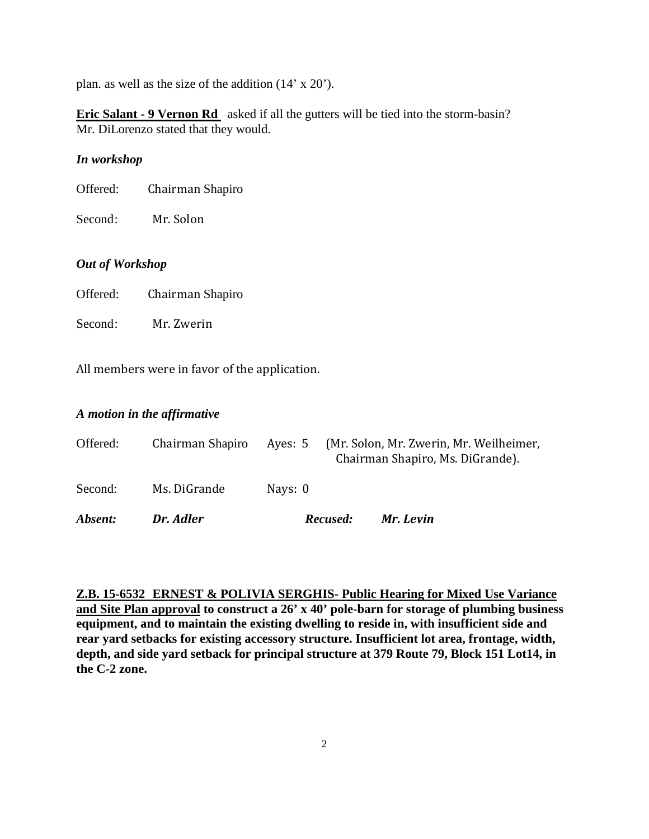plan. as well as the size of the addition (14' x 20').

**Eric Salant - 9 Vernon Rd** asked if all the gutters will be tied into the storm-basin? Mr. DiLorenzo stated that they would.

### *In workshop*

| Chairman Shapiro<br>Offered: |
|------------------------------|
|                              |

Second: Mr. Solon

## *Out of Workshop*

Second: Mr. Zwerin

All members were in favor of the application.

## *A motion in the affirmative*

| Absent:  | Dr. Adler        |         | Recused: | Mr. Levin                                                                   |
|----------|------------------|---------|----------|-----------------------------------------------------------------------------|
| Second:  | Ms. DiGrande     | Nays: 0 |          |                                                                             |
| Offered: | Chairman Shapiro | Ayes: 5 |          | (Mr. Solon, Mr. Zwerin, Mr. Weilheimer,<br>Chairman Shapiro, Ms. DiGrande). |

**Z.B. 15-6532 ERNEST & POLIVIA SERGHIS- Public Hearing for Mixed Use Variance and Site Plan approval to construct a 26' x 40' pole-barn for storage of plumbing business equipment, and to maintain the existing dwelling to reside in, with insufficient side and rear yard setbacks for existing accessory structure. Insufficient lot area, frontage, width, depth, and side yard setback for principal structure at 379 Route 79, Block 151 Lot14, in the C-2 zone.**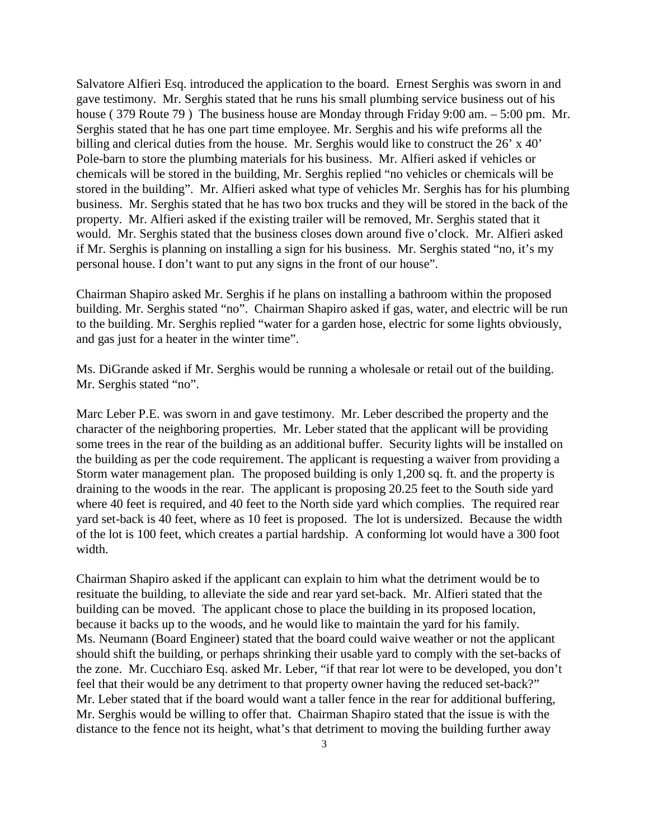Salvatore Alfieri Esq. introduced the application to the board. Ernest Serghis was sworn in and gave testimony. Mr. Serghis stated that he runs his small plumbing service business out of his house ( 379 Route 79 ) The business house are Monday through Friday 9:00 am. – 5:00 pm. Mr. Serghis stated that he has one part time employee. Mr. Serghis and his wife preforms all the billing and clerical duties from the house. Mr. Serghis would like to construct the 26' x 40' Pole-barn to store the plumbing materials for his business. Mr. Alfieri asked if vehicles or chemicals will be stored in the building, Mr. Serghis replied "no vehicles or chemicals will be stored in the building". Mr. Alfieri asked what type of vehicles Mr. Serghis has for his plumbing business. Mr. Serghis stated that he has two box trucks and they will be stored in the back of the property. Mr. Alfieri asked if the existing trailer will be removed, Mr. Serghis stated that it would. Mr. Serghis stated that the business closes down around five o'clock. Mr. Alfieri asked if Mr. Serghis is planning on installing a sign for his business. Mr. Serghis stated "no, it's my personal house. I don't want to put any signs in the front of our house".

Chairman Shapiro asked Mr. Serghis if he plans on installing a bathroom within the proposed building. Mr. Serghis stated "no". Chairman Shapiro asked if gas, water, and electric will be run to the building. Mr. Serghis replied "water for a garden hose, electric for some lights obviously, and gas just for a heater in the winter time".

Ms. DiGrande asked if Mr. Serghis would be running a wholesale or retail out of the building. Mr. Serghis stated "no".

Marc Leber P.E. was sworn in and gave testimony. Mr. Leber described the property and the character of the neighboring properties. Mr. Leber stated that the applicant will be providing some trees in the rear of the building as an additional buffer. Security lights will be installed on the building as per the code requirement. The applicant is requesting a waiver from providing a Storm water management plan. The proposed building is only 1,200 sq. ft. and the property is draining to the woods in the rear. The applicant is proposing 20.25 feet to the South side yard where 40 feet is required, and 40 feet to the North side yard which complies. The required rear yard set-back is 40 feet, where as 10 feet is proposed. The lot is undersized. Because the width of the lot is 100 feet, which creates a partial hardship. A conforming lot would have a 300 foot width.

Chairman Shapiro asked if the applicant can explain to him what the detriment would be to resituate the building, to alleviate the side and rear yard set-back. Mr. Alfieri stated that the building can be moved. The applicant chose to place the building in its proposed location, because it backs up to the woods, and he would like to maintain the yard for his family. Ms. Neumann (Board Engineer) stated that the board could waive weather or not the applicant should shift the building, or perhaps shrinking their usable yard to comply with the set-backs of the zone. Mr. Cucchiaro Esq. asked Mr. Leber, "if that rear lot were to be developed, you don't feel that their would be any detriment to that property owner having the reduced set-back?" Mr. Leber stated that if the board would want a taller fence in the rear for additional buffering, Mr. Serghis would be willing to offer that. Chairman Shapiro stated that the issue is with the distance to the fence not its height, what's that detriment to moving the building further away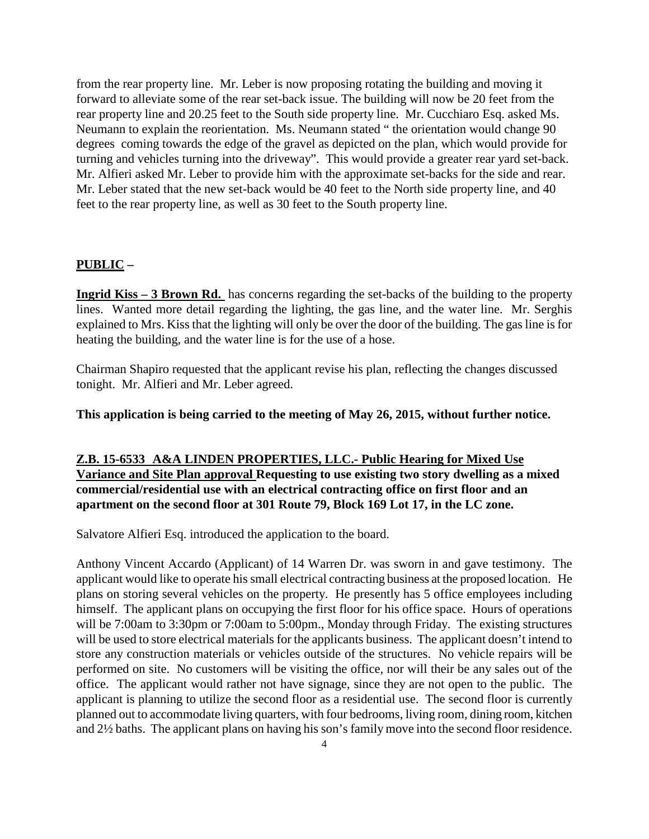from the rear property line. Mr. Leber is now proposing rotating the building and moving it forward to alleviate some of the rear set-back issue. The building will now be 20 feet from the rear property line and 20.25 feet to the South side property line. Mr. Cucchiaro Esq. asked Ms. Neumann to explain the reorientation. Ms. Neumann stated " the orientation would change 90 degrees coming towards the edge of the gravel as depicted on the plan, which would provide for turning and vehicles turning into the driveway". This would provide a greater rear yard set-back. Mr. Alfieri asked Mr. Leber to provide him with the approximate set-backs for the side and rear. Mr. Leber stated that the new set-back would be 40 feet to the North side property line, and 40 feet to the rear property line, as well as 30 feet to the South property line.

### **PUBLIC –**

**Ingrid Kiss – 3 Brown Rd.** has concerns regarding the set-backs of the building to the property lines. Wanted more detail regarding the lighting, the gas line, and the water line. Mr. Serghis explained to Mrs. Kiss that the lighting will only be over the door of the building. The gas line is for heating the building, and the water line is for the use of a hose.

Chairman Shapiro requested that the applicant revise his plan, reflecting the changes discussed tonight. Mr. Alfieri and Mr. Leber agreed.

**This application is being carried to the meeting of May 26, 2015, without further notice.**

## **Z.B. 15-6533 A&A LINDEN PROPERTIES, LLC.- Public Hearing for Mixed Use Variance and Site Plan approval Requesting to use existing two story dwelling as a mixed commercial/residential use with an electrical contracting office on first floor and an apartment on the second floor at 301 Route 79, Block 169 Lot 17, in the LC zone.**

Salvatore Alfieri Esq. introduced the application to the board.

Anthony Vincent Accardo (Applicant) of 14 Warren Dr. was sworn in and gave testimony. The applicant would like to operate his small electrical contracting business at the proposed location. He plans on storing several vehicles on the property. He presently has 5 office employees including himself. The applicant plans on occupying the first floor for his office space. Hours of operations will be 7:00am to 3:30pm or 7:00am to 5:00pm., Monday through Friday. The existing structures will be used to store electrical materials for the applicants business. The applicant doesn't intend to store any construction materials or vehicles outside of the structures. No vehicle repairs will be performed on site. No customers will be visiting the office, nor will their be any sales out of the office. The applicant would rather not have signage, since they are not open to the public. The applicant is planning to utilize the second floor as a residential use. The second floor is currently planned out to accommodate living quarters, with four bedrooms, living room, dining room, kitchen and 2½ baths. The applicant plans on having his son's family move into the second floor residence.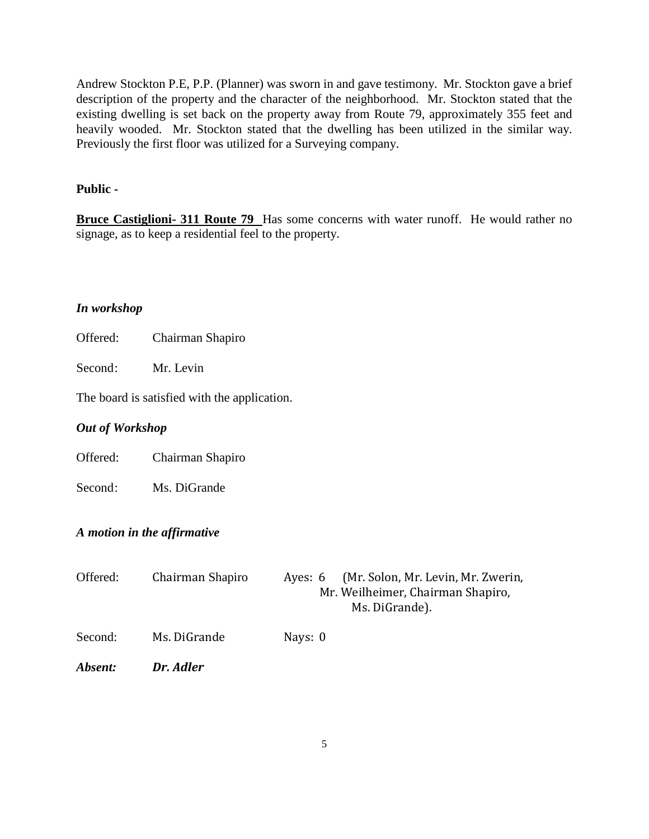Andrew Stockton P.E, P.P. (Planner) was sworn in and gave testimony. Mr. Stockton gave a brief description of the property and the character of the neighborhood. Mr. Stockton stated that the existing dwelling is set back on the property away from Route 79, approximately 355 feet and heavily wooded. Mr. Stockton stated that the dwelling has been utilized in the similar way. Previously the first floor was utilized for a Surveying company.

### **Public -**

**Bruce Castiglioni- 311 Route 79** Has some concerns with water runoff. He would rather no signage, as to keep a residential feel to the property.

#### *In workshop*

Second: Mr. Levin

The board is satisfied with the application.

#### *Out of Workshop*

Offered: Chairman Shapiro

Second: Ms. DiGrande

## *A motion in the affirmative*

| Offered: | Chairman Shapiro | (Mr. Solon, Mr. Levin, Mr. Zwerin,<br>Aves: 6<br>Mr. Weilheimer, Chairman Shapiro,<br>Ms. DiGrande). |
|----------|------------------|------------------------------------------------------------------------------------------------------|
| Second:  | Ms. DiGrande     | Nays: 0                                                                                              |
| Absent:  | Dr. Adler        |                                                                                                      |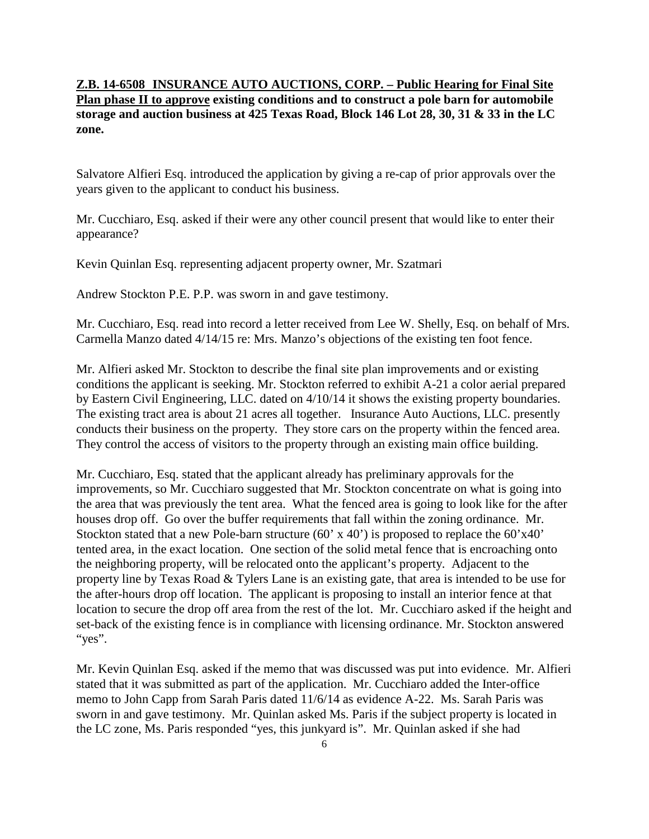## **Z.B. 14-6508 INSURANCE AUTO AUCTIONS, CORP. – Public Hearing for Final Site Plan phase II to approve existing conditions and to construct a pole barn for automobile storage and auction business at 425 Texas Road, Block 146 Lot 28, 30, 31 & 33 in the LC zone.**

Salvatore Alfieri Esq. introduced the application by giving a re-cap of prior approvals over the years given to the applicant to conduct his business.

Mr. Cucchiaro, Esq. asked if their were any other council present that would like to enter their appearance?

Kevin Quinlan Esq. representing adjacent property owner, Mr. Szatmari

Andrew Stockton P.E. P.P. was sworn in and gave testimony.

Mr. Cucchiaro, Esq. read into record a letter received from Lee W. Shelly, Esq. on behalf of Mrs. Carmella Manzo dated 4/14/15 re: Mrs. Manzo's objections of the existing ten foot fence.

Mr. Alfieri asked Mr. Stockton to describe the final site plan improvements and or existing conditions the applicant is seeking. Mr. Stockton referred to exhibit A-21 a color aerial prepared by Eastern Civil Engineering, LLC. dated on 4/10/14 it shows the existing property boundaries. The existing tract area is about 21 acres all together. Insurance Auto Auctions, LLC. presently conducts their business on the property. They store cars on the property within the fenced area. They control the access of visitors to the property through an existing main office building.

Mr. Cucchiaro, Esq. stated that the applicant already has preliminary approvals for the improvements, so Mr. Cucchiaro suggested that Mr. Stockton concentrate on what is going into the area that was previously the tent area. What the fenced area is going to look like for the after houses drop off. Go over the buffer requirements that fall within the zoning ordinance. Mr. Stockton stated that a new Pole-barn structure (60' x 40') is proposed to replace the 60'x40' tented area, in the exact location. One section of the solid metal fence that is encroaching onto the neighboring property, will be relocated onto the applicant's property. Adjacent to the property line by Texas Road & Tylers Lane is an existing gate, that area is intended to be use for the after-hours drop off location. The applicant is proposing to install an interior fence at that location to secure the drop off area from the rest of the lot. Mr. Cucchiaro asked if the height and set-back of the existing fence is in compliance with licensing ordinance. Mr. Stockton answered "yes".

Mr. Kevin Quinlan Esq. asked if the memo that was discussed was put into evidence. Mr. Alfieri stated that it was submitted as part of the application. Mr. Cucchiaro added the Inter-office memo to John Capp from Sarah Paris dated 11/6/14 as evidence A-22. Ms. Sarah Paris was sworn in and gave testimony. Mr. Quinlan asked Ms. Paris if the subject property is located in the LC zone, Ms. Paris responded "yes, this junkyard is". Mr. Quinlan asked if she had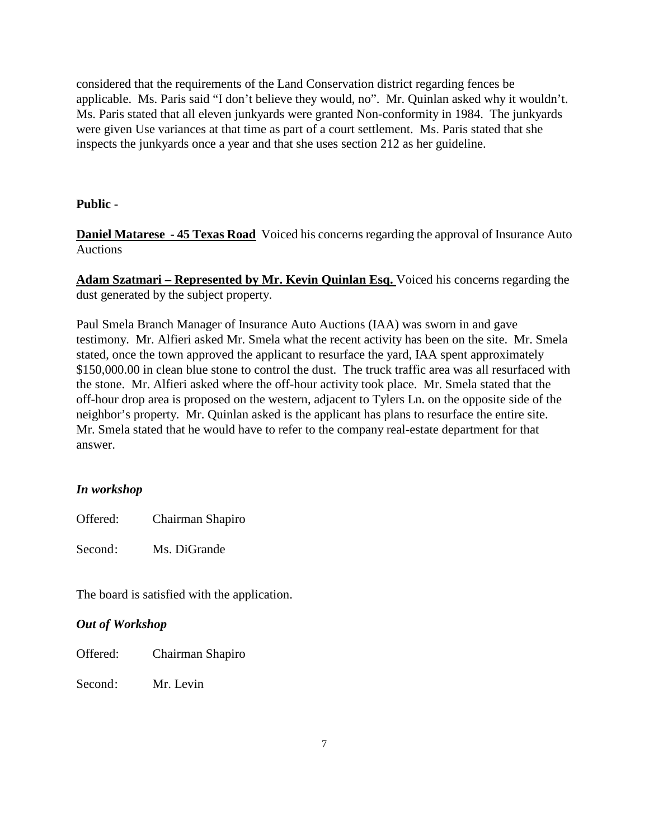considered that the requirements of the Land Conservation district regarding fences be applicable. Ms. Paris said "I don't believe they would, no". Mr. Quinlan asked why it wouldn't. Ms. Paris stated that all eleven junkyards were granted Non-conformity in 1984. The junkyards were given Use variances at that time as part of a court settlement. Ms. Paris stated that she inspects the junkyards once a year and that she uses section 212 as her guideline.

## **Public -**

**Daniel Matarese - 45 Texas Road** Voiced his concerns regarding the approval of Insurance Auto Auctions

**Adam Szatmari – Represented by Mr. Kevin Quinlan Esq.** Voiced his concerns regarding the dust generated by the subject property.

Paul Smela Branch Manager of Insurance Auto Auctions (IAA) was sworn in and gave testimony. Mr. Alfieri asked Mr. Smela what the recent activity has been on the site. Mr. Smela stated, once the town approved the applicant to resurface the yard, IAA spent approximately \$150,000.00 in clean blue stone to control the dust. The truck traffic area was all resurfaced with the stone. Mr. Alfieri asked where the off-hour activity took place. Mr. Smela stated that the off-hour drop area is proposed on the western, adjacent to Tylers Ln. on the opposite side of the neighbor's property. Mr. Quinlan asked is the applicant has plans to resurface the entire site. Mr. Smela stated that he would have to refer to the company real-estate department for that answer.

## *In workshop*

Offered: Chairman Shapiro

Second: Ms. DiGrande

The board is satisfied with the application.

### *Out of Workshop*

Offered: Chairman Shapiro

Second: Mr. Levin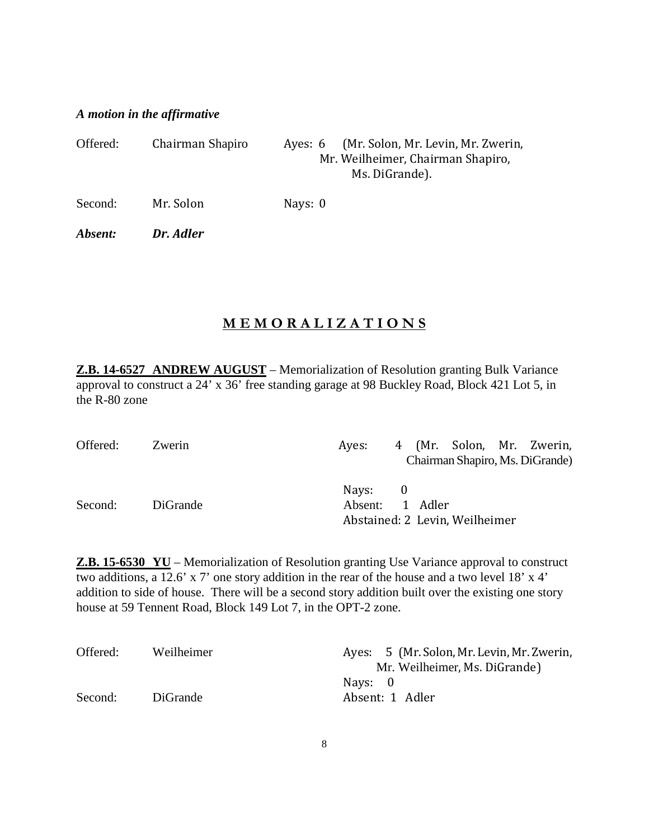## *A motion in the affirmative*

| Offered: | Chairman Shapiro | (Mr. Solon, Mr. Levin, Mr. Zwerin,<br>Aves: 6<br>Mr. Weilheimer, Chairman Shapiro,<br>Ms. DiGrande). |
|----------|------------------|------------------------------------------------------------------------------------------------------|
| Second:  | Mr. Solon        | Nays: 0                                                                                              |
| Absent:  | Dr. Adler        |                                                                                                      |

# **M E M O R A L I Z A T I O N S**

**Z.B. 14-6527 ANDREW AUGUST** – Memorialization of Resolution granting Bulk Variance approval to construct a 24' x 36' free standing garage at 98 Buckley Road, Block 421 Lot 5, in the R-80 zone

| Offered: | Zwerin          | 4 (Mr. Solon, Mr. Zwerin,<br>Aves:                           |
|----------|-----------------|--------------------------------------------------------------|
|          |                 | Chairman Shapiro, Ms. DiGrande)                              |
| Second:  | <b>DiGrande</b> | Nays: 0<br>Absent: 1 Adler<br>Abstained: 2 Levin, Weilheimer |

**Z.B. 15-6530 YU** – Memorialization of Resolution granting Use Variance approval to construct two additions, a 12.6' x 7' one story addition in the rear of the house and a two level 18' x 4' addition to side of house. There will be a second story addition built over the existing one story house at 59 Tennent Road, Block 149 Lot 7, in the OPT-2 zone.

| Offered: | Weilheimer      | Ayes: 5 (Mr. Solon, Mr. Levin, Mr. Zwerin, |
|----------|-----------------|--------------------------------------------|
|          |                 | Mr. Weilheimer, Ms. DiGrande)              |
|          |                 | Navs: 0                                    |
| Second:  | <b>DiGrande</b> | Absent: 1 Adler                            |